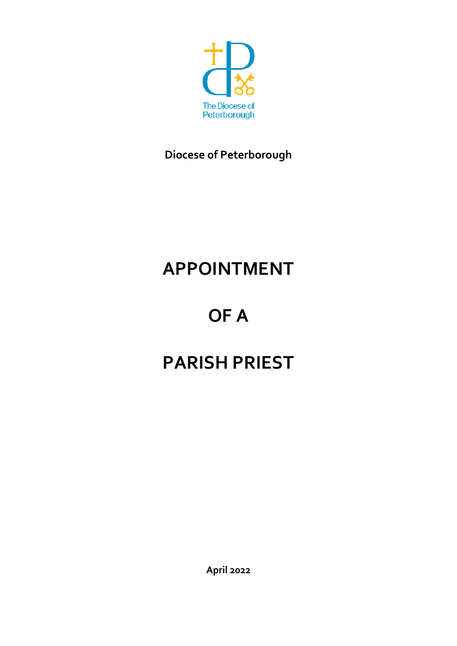

**Diocese of Peterborough** 

# **APPOINTMENT**

# **OF A**

# **PARISH PRIEST**

**April 2022**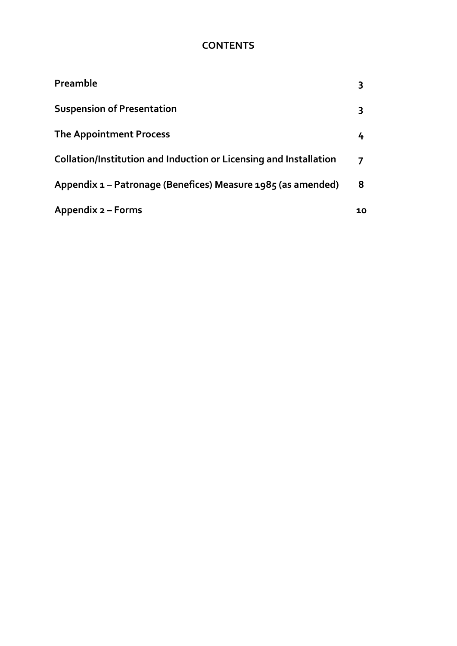# **CONTENTS**

| Preamble                                                          |    |
|-------------------------------------------------------------------|----|
| <b>Suspension of Presentation</b>                                 | 3  |
| <b>The Appointment Process</b>                                    | 4  |
| Collation/Institution and Induction or Licensing and Installation | 7  |
| Appendix 1 – Patronage (Benefices) Measure 1985 (as amended)      | 8  |
| Appendix 2 – Forms                                                | 10 |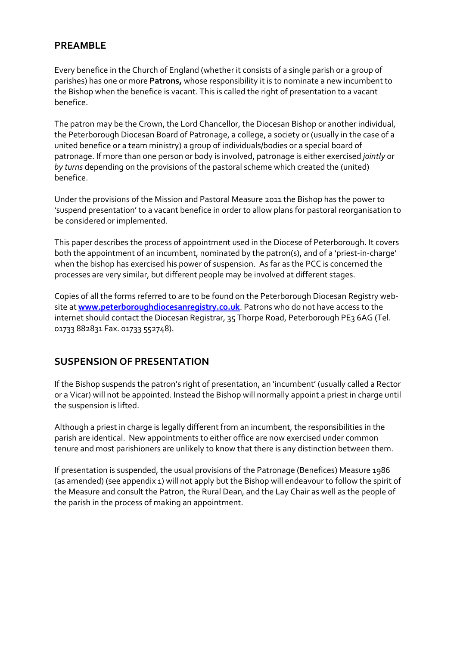## **PREAMBLE**

Every benefice in the Church of England (whether it consists of a single parish or a group of parishes) has one or more **Patrons,** whose responsibility it is to nominate a new incumbent to the Bishop when the benefice is vacant. This is called the right of presentation to a vacant benefice.

The patron may be the Crown, the Lord Chancellor, the Diocesan Bishop or another individual, the Peterborough Diocesan Board of Patronage, a college, a society or (usually in the case of a united benefice or a team ministry) a group of individuals/bodies or a special board of patronage. If more than one person or body is involved, patronage is either exercised *jointly* or *by turns* depending on the provisions of the pastoral scheme which created the (united) benefice.

Under the provisions of the Mission and Pastoral Measure 2011 the Bishop has the power to 'suspend presentation' to a vacant benefice in order to allow plans for pastoral reorganisation to be considered or implemented.

This paper describes the process of appointment used in the Diocese of Peterborough. It covers both the appointment of an incumbent, nominated by the patron(s), and of a 'priest-in-charge' when the bishop has exercised his power of suspension. As far as the PCC is concerned the processes are very similar, but different people may be involved at different stages.

Copies of all the forms referred to are to be found on the Peterborough Diocesan Registry website at **www.peterboroughdiocesanregistry.co.uk**. Patrons who do not have access to the internet should contact the Diocesan Registrar, 35 Thorpe Road, Peterborough PE3 6AG (Tel. 01733 882831 Fax. 01733 552748).

## **SUSPENSION OF PRESENTATION**

If the Bishop suspends the patron's right of presentation, an 'incumbent' (usually called a Rector or a Vicar) will not be appointed. Instead the Bishop will normally appoint a priest in charge until the suspension is lifted.

Although a priest in charge is legally different from an incumbent, the responsibilities in the parish are identical. New appointments to either office are now exercised under common tenure and most parishioners are unlikely to know that there is any distinction between them.

If presentation is suspended, the usual provisions of the Patronage (Benefices) Measure 1986 (as amended) (see appendix 1) will not apply but the Bishop will endeavour to follow the spirit of the Measure and consult the Patron, the Rural Dean, and the Lay Chair as well as the people of the parish in the process of making an appointment.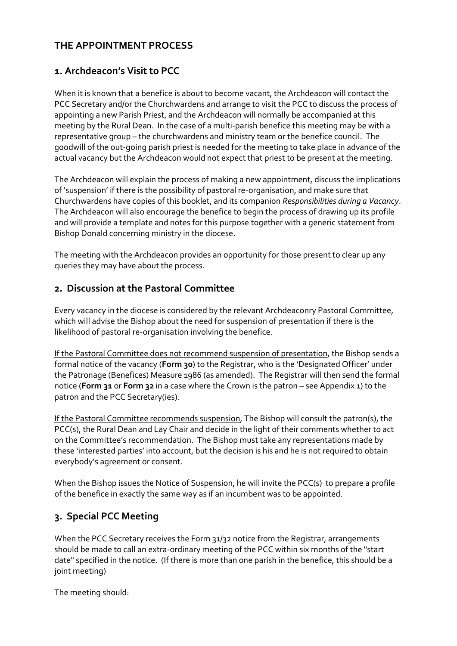## **THE APPOINTMENT PROCESS**

## **1. Archdeacon's Visit to PCC**

When it is known that a benefice is about to become vacant, the Archdeacon will contact the PCC Secretary and/or the Churchwardens and arrange to visit the PCC to discuss the process of appointing a new Parish Priest, and the Archdeacon will normally be accompanied at this meeting by the Rural Dean. In the case of a multi-parish benefice this meeting may be with a representative group – the churchwardens and ministry team or the benefice council. The goodwill of the out-going parish priest is needed for the meeting to take place in advance of the actual vacancy but the Archdeacon would not expect that priest to be present at the meeting.

The Archdeacon will explain the process of making a new appointment, discuss the implications of 'suspension' if there is the possibility of pastoral re-organisation, and make sure that Churchwardens have copies of this booklet, and its companion *Responsibilities during a Vacancy*. The Archdeacon will also encourage the benefice to begin the process of drawing up its profile and will provide a template and notes for this purpose together with a generic statement from Bishop Donald concerning ministry in the diocese.

The meeting with the Archdeacon provides an opportunity for those present to clear up any queries they may have about the process.

## **2. Discussion at the Pastoral Committee**

Every vacancy in the diocese is considered by the relevant Archdeaconry Pastoral Committee, which will advise the Bishop about the need for suspension of presentation if there is the likelihood of pastoral re-organisation involving the benefice.

If the Pastoral Committee does not recommend suspension of presentation, the Bishop sends a formal notice of the vacancy (**Form 30**) to the Registrar, who is the 'Designated Officer' under the Patronage (Benefices) Measure 1986 (as amended). The Registrar will then send the formal notice (**Form 31** or **Form 32** in a case where the Crown is the patron – see Appendix 1) to the patron and the PCC Secretary(ies).

If the Pastoral Committee recommends suspension, The Bishop will consult the patron(s), the PCC(s), the Rural Dean and Lay Chair and decide in the light of their comments whether to act on the Committee's recommendation. The Bishop must take any representations made by these 'interested parties' into account, but the decision is his and he is not required to obtain everybody's agreement or consent.

When the Bishop issues the Notice of Suspension, he will invite the PCC(s) to prepare a profile of the benefice in exactly the same way as if an incumbent was to be appointed.

## **3. Special PCC Meeting**

When the PCC Secretary receives the Form 31/32 notice from the Registrar, arrangements should be made to call an extra-ordinary meeting of the PCC within six months of the "start date" specified in the notice. (If there is more than one parish in the benefice, this should be a joint meeting)

The meeting should: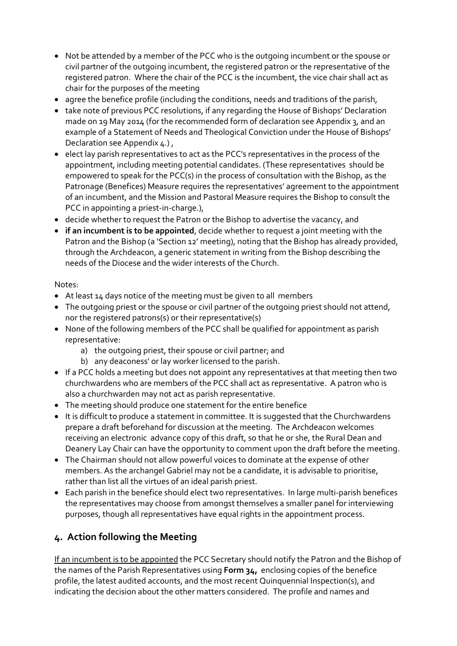- Not be attended by a member of the PCC who is the outgoing incumbent or the spouse or civil partner of the outgoing incumbent, the registered patron or the representative of the registered patron. Where the chair of the PCC is the incumbent, the vice chair shall act as chair for the purposes of the meeting
- agree the benefice profile (including the conditions, needs and traditions of the parish,
- take note of previous PCC resolutions, if any regarding the House of Bishops' Declaration made on 19 May 2014 (for the recommended form of declaration see Appendix 3, and an example of a Statement of Needs and Theological Conviction under the House of Bishops' Declaration see Appendix 4.) ,
- elect lay parish representatives to act as the PCC's representatives in the process of the appointment, including meeting potential candidates. (These representatives should be empowered to speak for the PCC(s) in the process of consultation with the Bishop, as the Patronage (Benefices) Measure requires the representatives' agreement to the appointment of an incumbent, and the Mission and Pastoral Measure requires the Bishop to consult the PCC in appointing a priest-in-charge.),
- decide whether to request the Patron or the Bishop to advertise the vacancy, and
- **if an incumbent is to be appointed**, decide whether to request a joint meeting with the Patron and the Bishop (a 'Section 12' meeting), noting that the Bishop has already provided, through the Archdeacon, a generic statement in writing from the Bishop describing the needs of the Diocese and the wider interests of the Church.

### Notes:

- At least 14 days notice of the meeting must be given to all members
- The outgoing priest or the spouse or civil partner of the outgoing priest should not attend, nor the registered patrons(s) or their representative(s)
- None of the following members of the PCC shall be qualified for appointment as parish representative:
	- a) the outgoing priest, their spouse or civil partner; and
	- b) any deaconess' or lay worker licensed to the parish.
- If a PCC holds a meeting but does not appoint any representatives at that meeting then two churchwardens who are members of the PCC shall act as representative. A patron who is also a churchwarden may not act as parish representative.
- The meeting should produce one statement for the entire benefice
- It is difficult to produce a statement in committee. It is suggested that the Churchwardens prepare a draft beforehand for discussion at the meeting. The Archdeacon welcomes receiving an electronic advance copy of this draft, so that he or she, the Rural Dean and Deanery Lay Chair can have the opportunity to comment upon the draft before the meeting.
- The Chairman should not allow powerful voices to dominate at the expense of other members. As the archangel Gabriel may not be a candidate, it is advisable to prioritise, rather than list all the virtues of an ideal parish priest.
- Each parish in the benefice should elect two representatives. In large multi-parish benefices the representatives may choose from amongst themselves a smaller panel for interviewing purposes, though all representatives have equal rights in the appointment process.

## **4. Action following the Meeting**

If an incumbent is to be appointed the PCC Secretary should notify the Patron and the Bishop of the names of the Parish Representatives using **Form 34,** enclosing copies of the benefice profile, the latest audited accounts, and the most recent Quinquennial Inspection(s), and indicating the decision about the other matters considered. The profile and names and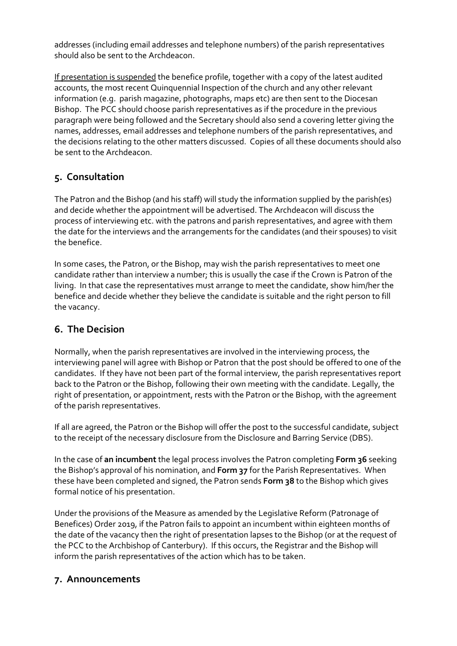addresses (including email addresses and telephone numbers) of the parish representatives should also be sent to the Archdeacon.

If presentation is suspended the benefice profile, together with a copy of the latest audited accounts, the most recent Quinquennial Inspection of the church and any other relevant information (e.g. parish magazine, photographs, maps etc) are then sent to the Diocesan Bishop. The PCC should choose parish representatives as if the procedure in the previous paragraph were being followed and the Secretary should also send a covering letter giving the names, addresses, email addresses and telephone numbers of the parish representatives, and the decisions relating to the other matters discussed. Copies of all these documents should also be sent to the Archdeacon.

## **5. Consultation**

The Patron and the Bishop (and his staff) will study the information supplied by the parish(es) and decide whether the appointment will be advertised. The Archdeacon will discuss the process of interviewing etc. with the patrons and parish representatives, and agree with them the date for the interviews and the arrangements for the candidates (and their spouses) to visit the benefice.

In some cases, the Patron, or the Bishop, may wish the parish representatives to meet one candidate rather than interview a number; this is usually the case if the Crown is Patron of the living. In that case the representatives must arrange to meet the candidate, show him/her the benefice and decide whether they believe the candidate is suitable and the right person to fill the vacancy.

# **6. The Decision**

Normally, when the parish representatives are involved in the interviewing process, the interviewing panel will agree with Bishop or Patron that the post should be offered to one of the candidates. If they have not been part of the formal interview, the parish representatives report back to the Patron or the Bishop, following their own meeting with the candidate. Legally, the right of presentation, or appointment, rests with the Patron or the Bishop, with the agreement of the parish representatives.

If all are agreed, the Patron or the Bishop will offer the post to the successful candidate, subject to the receipt of the necessary disclosure from the Disclosure and Barring Service (DBS).

In the case of **an incumbent** the legal process involves the Patron completing **Form 36** seeking the Bishop's approval of his nomination, and **Form 37** for the Parish Representatives. When these have been completed and signed, the Patron sends **Form 38** to the Bishop which gives formal notice of his presentation.

Under the provisions of the Measure as amended by the Legislative Reform (Patronage of Benefices) Order 2019, if the Patron fails to appoint an incumbent within eighteen months of the date of the vacancy then the right of presentation lapses to the Bishop (or at the request of the PCC to the Archbishop of Canterbury). If this occurs, the Registrar and the Bishop will inform the parish representatives of the action which has to be taken.

## **7. Announcements**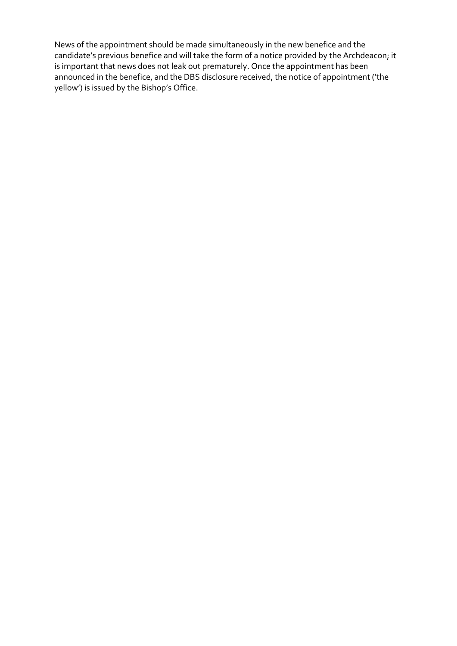News of the appointment should be made simultaneously in the new benefice and the candidate's previous benefice and will take the form of a notice provided by the Archdeacon; it is important that news does not leak out prematurely. Once the appointment has been announced in the benefice, and the DBS disclosure received, the notice of appointment ('the yellow') is issued by the Bishop's Office.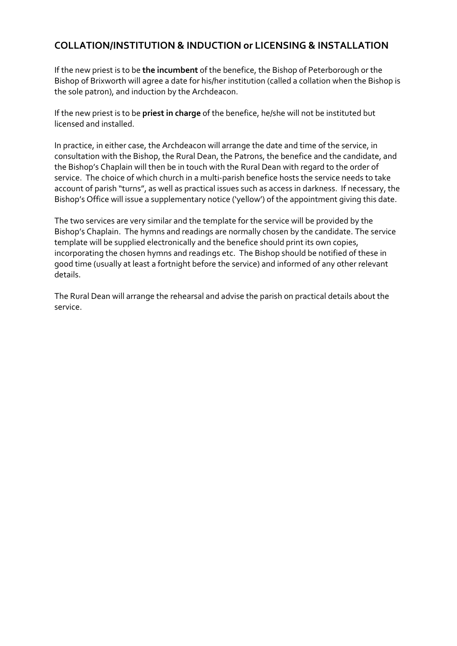## **COLLATION/INSTITUTION & INDUCTION or LICENSING & INSTALLATION**

If the new priest is to be **the incumbent** of the benefice, the Bishop of Peterborough or the Bishop of Brixworth will agree a date for his/her institution (called a collation when the Bishop is the sole patron), and induction by the Archdeacon.

If the new priest is to be **priest in charge** of the benefice, he/she will not be instituted but licensed and installed.

In practice, in either case, the Archdeacon will arrange the date and time of the service, in consultation with the Bishop, the Rural Dean, the Patrons, the benefice and the candidate, and the Bishop's Chaplain will then be in touch with the Rural Dean with regard to the order of service. The choice of which church in a multi-parish benefice hosts the service needs to take account of parish "turns", as well as practical issues such as access in darkness. If necessary, the Bishop's Office will issue a supplementary notice ('yellow') of the appointment giving this date.

The two services are very similar and the template for the service will be provided by the Bishop's Chaplain. The hymns and readings are normally chosen by the candidate. The service template will be supplied electronically and the benefice should print its own copies, incorporating the chosen hymns and readings etc. The Bishop should be notified of these in good time (usually at least a fortnight before the service) and informed of any other relevant details.

The Rural Dean will arrange the rehearsal and advise the parish on practical details about the service.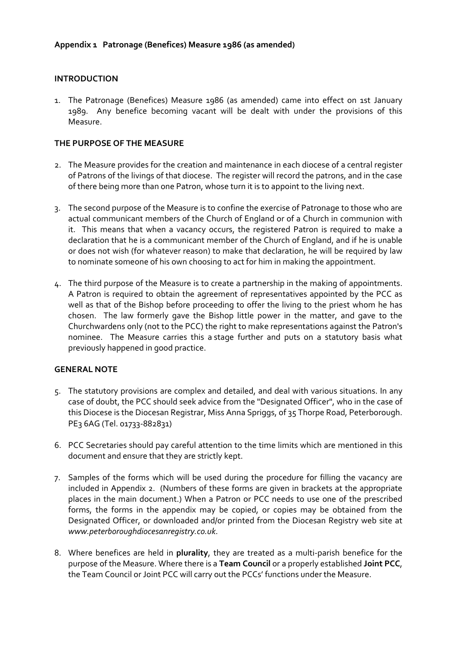### **INTRODUCTION**

1. The Patronage (Benefices) Measure 1986 (as amended) came into effect on 1st January 1989. Any benefice becoming vacant will be dealt with under the provisions of this Measure.

#### **THE PURPOSE OF THE MEASURE**

- 2. The Measure provides for the creation and maintenance in each diocese of a central register of Patrons of the livings of that diocese. The register will record the patrons, and in the case of there being more than one Patron, whose turn it is to appoint to the living next.
- 3. The second purpose of the Measure is to confine the exercise of Patronage to those who are actual communicant members of the Church of England or of a Church in communion with it. This means that when a vacancy occurs, the registered Patron is required to make a declaration that he is a communicant member of the Church of England, and if he is unable or does not wish (for whatever reason) to make that declaration, he will be required by law to nominate someone of his own choosing to act for him in making the appointment.
- 4. The third purpose of the Measure is to create a partnership in the making of appointments. A Patron is required to obtain the agreement of representatives appointed by the PCC as well as that of the Bishop before proceeding to offer the living to the priest whom he has chosen. The law formerly gave the Bishop little power in the matter, and gave to the Churchwardens only (not to the PCC) the right to make representations against the Patron's nominee. The Measure carries this a stage further and puts on a statutory basis what previously happened in good practice.

#### **GENERAL NOTE**

- 5. The statutory provisions are complex and detailed, and deal with various situations. In any case of doubt, the PCC should seek advice from the "Designated Officer", who in the case of this Diocese is the Diocesan Registrar, Miss Anna Spriggs, of 35 Thorpe Road, Peterborough. PE3 6AG (Tel. 01733-882831)
- 6. PCC Secretaries should pay careful attention to the time limits which are mentioned in this document and ensure that they are strictly kept.
- 7. Samples of the forms which will be used during the procedure for filling the vacancy are included in Appendix 2. (Numbers of these forms are given in brackets at the appropriate places in the main document.) When a Patron or PCC needs to use one of the prescribed forms, the forms in the appendix may be copied, or copies may be obtained from the Designated Officer, or downloaded and/or printed from the Diocesan Registry web site at *www.peterboroughdiocesanregistry.co.uk*.
- 8. Where benefices are held in **plurality**, they are treated as a multi-parish benefice for the purpose of the Measure. Where there is a **Team Council** or a properly established **Joint PCC**, the Team Council or Joint PCC will carry out the PCCs' functions under the Measure.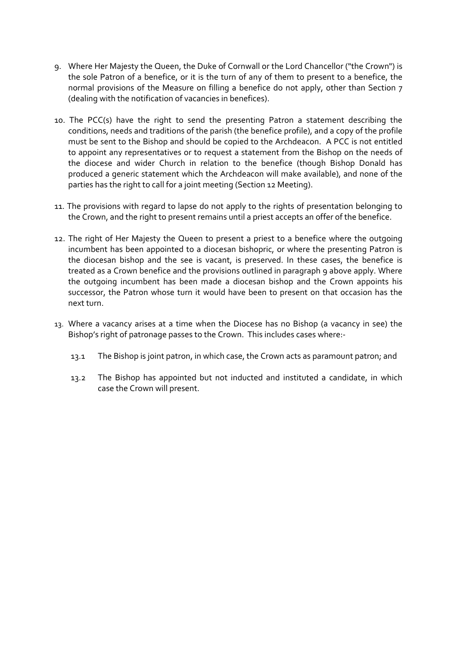- 9. Where Her Majesty the Queen, the Duke of Cornwall or the Lord Chancellor ("the Crown") is the sole Patron of a benefice, or it is the turn of any of them to present to a benefice, the normal provisions of the Measure on filling a benefice do not apply, other than Section 7 (dealing with the notification of vacancies in benefices).
- 10. The PCC(s) have the right to send the presenting Patron a statement describing the conditions, needs and traditions of the parish (the benefice profile), and a copy of the profile must be sent to the Bishop and should be copied to the Archdeacon. A PCC is not entitled to appoint any representatives or to request a statement from the Bishop on the needs of the diocese and wider Church in relation to the benefice (though Bishop Donald has produced a generic statement which the Archdeacon will make available), and none of the parties has the right to call for a joint meeting (Section 12 Meeting).
- 11. The provisions with regard to lapse do not apply to the rights of presentation belonging to the Crown, and the right to present remains until a priest accepts an offer of the benefice.
- 12. The right of Her Majesty the Queen to present a priest to a benefice where the outgoing incumbent has been appointed to a diocesan bishopric, or where the presenting Patron is the diocesan bishop and the see is vacant, is preserved. In these cases, the benefice is treated as a Crown benefice and the provisions outlined in paragraph 9 above apply. Where the outgoing incumbent has been made a diocesan bishop and the Crown appoints his successor, the Patron whose turn it would have been to present on that occasion has the next turn.
- 13. Where a vacancy arises at a time when the Diocese has no Bishop (a vacancy in see) the Bishop's right of patronage passes to the Crown. This includes cases where:-
	- 13.1 The Bishop is joint patron, in which case, the Crown acts as paramount patron; and
	- 13.2 The Bishop has appointed but not inducted and instituted a candidate, in which case the Crown will present.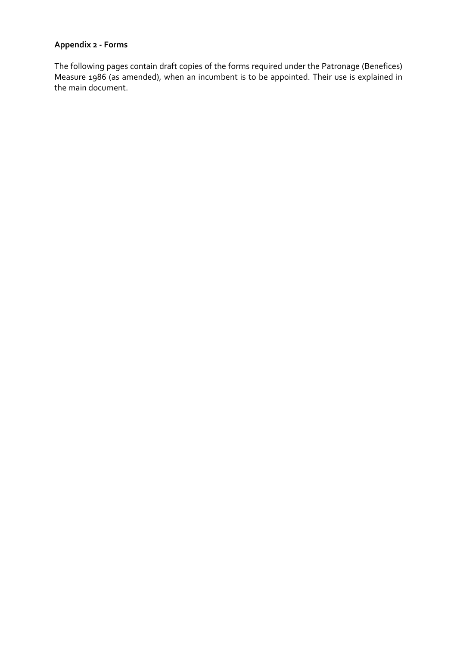## **Appendix 2 - Forms**

The following pages contain draft copies of the forms required under the Patronage (Benefices) Measure 1986 (as amended), when an incumbent is to be appointed. Their use is explained in the main document.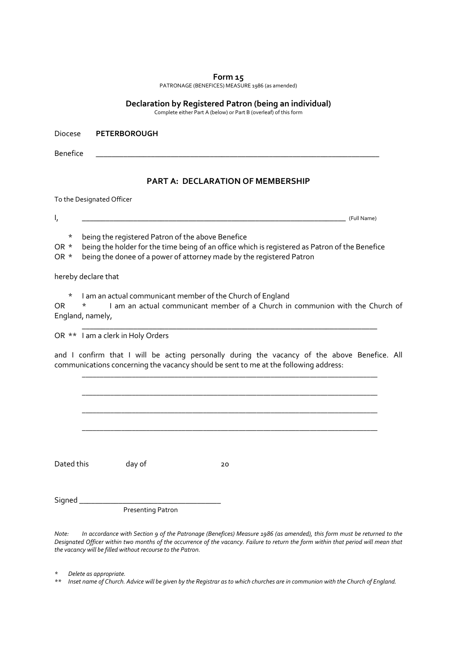PATRONAGE (BENEFICES) MEASURE 1986 (as amended)

#### **Declaration by Registered Patron (being an individual)**

Complete either Part A (below) or Part B (overleaf) of this form

Diocese **PETERBOROUGH** 

Benefice \_\_\_\_\_\_\_\_\_\_\_\_\_\_\_\_\_\_\_\_\_\_\_\_\_\_\_\_\_\_\_\_\_\_\_\_\_\_\_\_\_\_\_\_\_\_\_\_\_\_\_\_\_\_\_\_\_\_\_\_\_\_\_\_\_\_\_\_\_\_\_\_

#### **PART A: DECLARATION OF MEMBERSHIP**

To the Designated Officer

I, \_\_\_\_\_\_\_\_\_\_\_\_\_\_\_\_\_\_\_\_\_\_\_\_\_\_\_\_\_\_\_\_\_\_\_\_\_\_\_\_\_\_\_\_\_\_\_\_\_\_\_\_\_\_\_\_\_\_\_\_\_\_\_\_\_\_\_ (Full Name)

\* being the registered Patron of the above Benefice

OR \* being the holder for the time being of an office which is registered as Patron of the Benefice

OR \* being the donee of a power of attorney made by the registered Patron

hereby declare that

\* I am an actual communicant member of the Church of England

OR \* I am an actual communicant member of a Church in communion with the Church of England, namely,

 $\mathcal{L}_\text{max} = \mathcal{L}_\text{max} = \mathcal{L}_\text{max} = \mathcal{L}_\text{max} = \mathcal{L}_\text{max} = \mathcal{L}_\text{max} = \mathcal{L}_\text{max} = \mathcal{L}_\text{max} = \mathcal{L}_\text{max} = \mathcal{L}_\text{max}$ 

OR \*\* I am a clerk in Holy Orders

and I confirm that I will be acting personally during the vacancy of the above Benefice. All communications concerning the vacancy should be sent to me at the following address:

\_\_\_\_\_\_\_\_\_\_\_\_\_\_\_\_\_\_\_\_\_\_\_\_\_\_\_\_\_\_\_\_\_\_\_\_\_\_\_\_\_\_\_\_\_\_\_\_\_\_\_\_\_\_\_\_\_\_\_\_\_\_\_\_\_\_\_\_\_\_\_\_\_\_\_\_\_\_\_\_\_\_\_

 \_\_\_\_\_\_\_\_\_\_\_\_\_\_\_\_\_\_\_\_\_\_\_\_\_\_\_\_\_\_\_\_\_\_\_\_\_\_\_\_\_\_\_\_\_\_\_\_\_\_\_\_\_\_\_\_\_\_\_\_\_\_\_\_\_\_\_\_\_\_\_\_\_\_\_\_\_\_\_\_\_\_\_ \_\_\_\_\_\_\_\_\_\_\_\_\_\_\_\_\_\_\_\_\_\_\_\_\_\_\_\_\_\_\_\_\_\_\_\_\_\_\_\_\_\_\_\_\_\_\_\_\_\_\_\_\_\_\_\_\_\_\_\_\_\_\_\_\_\_\_\_\_\_\_\_\_\_\_\_\_\_\_\_\_\_\_ \_\_\_\_\_\_\_\_\_\_\_\_\_\_\_\_\_\_\_\_\_\_\_\_\_\_\_\_\_\_\_\_\_\_\_\_\_\_\_\_\_\_\_\_\_\_\_\_\_\_\_\_\_\_\_\_\_\_\_\_\_\_\_\_\_\_\_\_\_\_\_\_\_\_\_\_\_\_\_\_\_\_\_ Dated this day of 20 Signed \_\_\_\_\_\_\_\_\_\_\_\_\_\_\_\_\_\_\_\_\_\_\_\_\_\_\_\_\_\_\_\_\_\_\_\_

Presenting Patron

*Note: In accordance with Section 9 of the Patronage (Benefices) Measure 1986 (as amended), this form must be returned to the Designated Officer within two months of the occurrence of the vacancy. Failure to return the form within that period will mean that the vacancy will be filled without recourse to the Patron.* 

*\* Delete as appropriate.* 

*\*\* Inset name of Church. Advice will be given by the Registrar as to which churches are in communion with the Church of England.*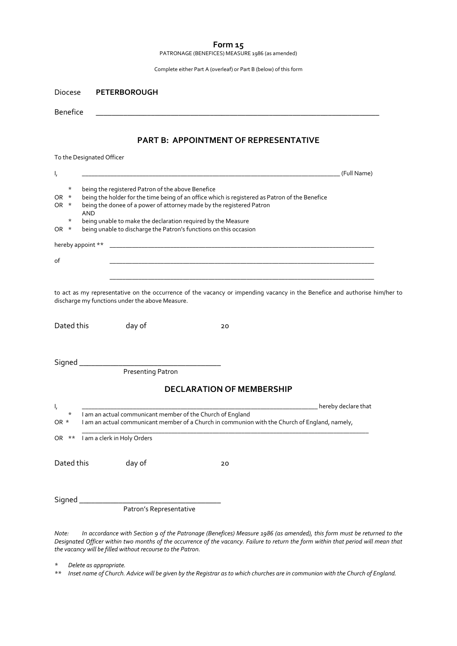PATRONAGE (BENEFICES) MEASURE 1986 (as amended)

| Complete either Part A (overleaf) or Part B (below) of this form |  |  |
|------------------------------------------------------------------|--|--|
|------------------------------------------------------------------|--|--|

| <b>Diocese</b>                     | <b>PETERBOROUGH</b>                                                                                                                     |                                                                                                                                  |
|------------------------------------|-----------------------------------------------------------------------------------------------------------------------------------------|----------------------------------------------------------------------------------------------------------------------------------|
| <b>Benefice</b>                    |                                                                                                                                         |                                                                                                                                  |
|                                    |                                                                                                                                         | <b>PART B: APPOINTMENT OF REPRESENTATIVE</b>                                                                                     |
|                                    | To the Designated Officer                                                                                                               |                                                                                                                                  |
| ι,                                 |                                                                                                                                         | (Full Name)                                                                                                                      |
| $^\star$<br>$\star$<br>OR.<br>OR * | being the registered Patron of the above Benefice<br>being the donee of a power of attorney made by the registered Patron<br><b>AND</b> | being the holder for the time being of an office which is registered as Patron of the Benefice                                   |
| $^\star$<br>OR<br>$\star$          | being unable to make the declaration required by the Measure<br>being unable to discharge the Patron's functions on this occasion       |                                                                                                                                  |
| hereby appoint **                  |                                                                                                                                         |                                                                                                                                  |
| of                                 |                                                                                                                                         |                                                                                                                                  |
|                                    |                                                                                                                                         |                                                                                                                                  |
| Dated this                         | discharge my functions under the above Measure.<br>day of                                                                               | to act as my representative on the occurrence of the vacancy or impending vacancy in the Benefice and authorise him/her to<br>20 |
|                                    |                                                                                                                                         |                                                                                                                                  |
| Signed                             |                                                                                                                                         |                                                                                                                                  |
|                                    | <b>Presenting Patron</b>                                                                                                                |                                                                                                                                  |
|                                    |                                                                                                                                         | <b>DECLARATION OF MEMBERSHIP</b>                                                                                                 |
| ι,<br>*<br>OR *                    | I am an actual communicant member of the Church of England                                                                              | hereby declare that<br>I am an actual communicant member of a Church in communion with the Church of England, namely,            |
| OR **                              | I am a clerk in Holy Orders                                                                                                             |                                                                                                                                  |
| Dated this                         | day of                                                                                                                                  | 20                                                                                                                               |
| Signed_                            | Patron's Representative                                                                                                                 |                                                                                                                                  |
|                                    |                                                                                                                                         |                                                                                                                                  |

*Note: In accordance with Section 9 of the Patronage (Benefices) Measure 1986 (as amended), this form must be returned to the Designated Officer within two months of the occurrence of the vacancy. Failure to return the form within that period will mean that the vacancy will be filled without recourse to the Patron.* 

*\* Delete as appropriate.* 

*\*\* Inset name of Church. Advice will be given by the Registrar as to which churches are in communion with the Church of England.*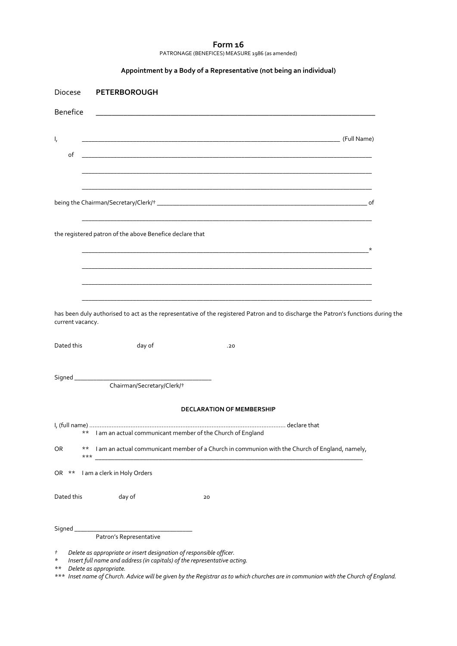#### **Form 16**  PATRONAGE (BENEFICES) MEASURE 1986 (as amended)

|  | Appointment by a Body of a Representative (not being an individual) |  |
|--|---------------------------------------------------------------------|--|
|--|---------------------------------------------------------------------|--|

| Diocese            | <b>PETERBOROUGH</b>                                        |                                                                                                                                   |         |
|--------------------|------------------------------------------------------------|-----------------------------------------------------------------------------------------------------------------------------------|---------|
| Benefice           |                                                            | <u> 1989 - Jan Samuel Barbara, marka a shekara ta 1989 - An tsara tsara tsara tsara tsara tsara tsara tsara tsar</u>              |         |
| $\mathsf{I}_i$     |                                                            |                                                                                                                                   |         |
| of                 |                                                            |                                                                                                                                   |         |
|                    |                                                            |                                                                                                                                   |         |
|                    |                                                            |                                                                                                                                   |         |
|                    | the registered patron of the above Benefice declare that   |                                                                                                                                   |         |
|                    |                                                            | <u> 2000 - 2000 - 2000 - 2000 - 2000 - 2000 - 2000 - 2000 - 2000 - 2000 - 2000 - 2000 - 2000 - 2000 - 2000 - 200</u>              | $\star$ |
|                    |                                                            |                                                                                                                                   |         |
|                    |                                                            |                                                                                                                                   |         |
| current vacancy.   |                                                            | has been duly authorised to act as the representative of the registered Patron and to discharge the Patron's functions during the |         |
| Dated this         | day of                                                     | .20                                                                                                                               |         |
|                    |                                                            |                                                                                                                                   |         |
|                    | Chairman/Secretary/Clerk/†                                 |                                                                                                                                   |         |
|                    |                                                            | <b>DECLARATION OF MEMBERSHIP</b>                                                                                                  |         |
| $***$              | I am an actual communicant member of the Church of England |                                                                                                                                   |         |
| OR<br>$***$<br>*** |                                                            | I am an actual communicant member of a Church in communion with the Church of England, namely,                                    |         |
| $***$<br>OR        | I am a clerk in Holy Orders                                |                                                                                                                                   |         |
| Dated this         | day of                                                     | 20                                                                                                                                |         |
|                    |                                                            |                                                                                                                                   |         |
|                    | Patron's Representative                                    |                                                                                                                                   |         |

*<sup>†</sup> Delete as appropriate or insert designation of responsible officer.* 

*<sup>\*</sup> Insert full name and address (in capitals) of the representative acting.* 

*<sup>\*\*</sup> Delete as appropriate.* 

*<sup>\*\*\*</sup> Inset name of Church. Advice will be given by the Registrar as to which churches are in communion with the Church of England.*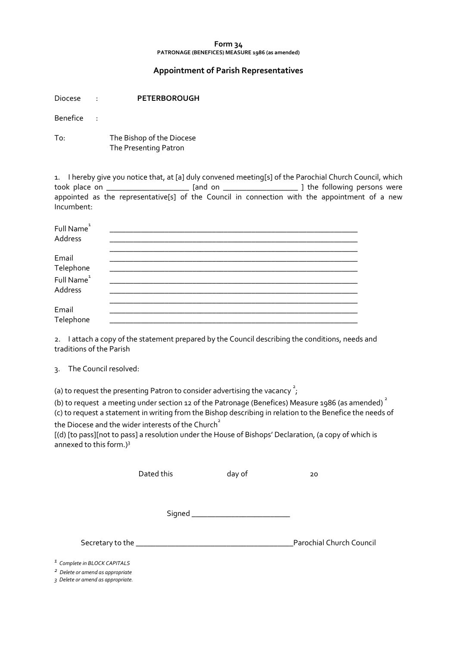#### **Form 34 PATRONAGE (BENEFICES) MEASURE 1986 (as amended)**

#### **Appointment of Parish Representatives**

| Diocese  |   | <b>PETERBOROUGH</b>                                                            |
|----------|---|--------------------------------------------------------------------------------|
| Benefice | ÷ |                                                                                |
| To:      |   | The Bishop of the Diocese<br>The Presenting Patron                             |
|          |   | 1. I hereby give you notice that, at [a] duly convened meeting[s] of the Paroc |

1. I hereby give you notice that, at [a] duly convened meeting[s] of the Parochial Church Council, which took place on \_\_\_\_\_\_\_\_\_\_\_\_\_\_\_\_\_\_\_\_\_\_\_\_\_\_\_ [and on \_\_\_\_\_\_\_\_\_\_\_\_\_\_\_\_\_\_\_\_\_\_\_\_\_\_\_\_\_\_ ] the following persons were appointed as the representative[s] of the Council in connection with the appointment of a new Incumbent:

| Full Name <sup>1</sup><br>Address              |  |
|------------------------------------------------|--|
| Email                                          |  |
| Telephone<br>Full Name <sup>1</sup><br>Address |  |
| Email<br>Telephone                             |  |

2. I attach a copy of the statement prepared by the Council describing the conditions, needs and traditions of the Parish

3. The Council resolved:

(a) to request the presenting Patron to consider advertising the vacancy  $\frac{2}{I}$ ;

(b) to request a meeting under section 12 of the Patronage (Benefices) Measure 1986 (as amended)<sup>2</sup> (c) to request a statement in writing from the Bishop describing in relation to the Benefice the needs of the Diocese and the wider interests of the Church<sup>2</sup>

[(d) [to pass][not to pass] a resolution under the House of Bishops' Declaration, (a copy of which is annexed to this form.)<sup>3</sup>

| Dated this                                      | day of | 20                       |
|-------------------------------------------------|--------|--------------------------|
|                                                 |        |                          |
| Secretary to the ______________________________ |        | Parochial Church Council |

*1 Complete in BLOCK CAPITALS* 

*2 Delete or amend as appropriate* 

*3 Delete or amend as appropriate.*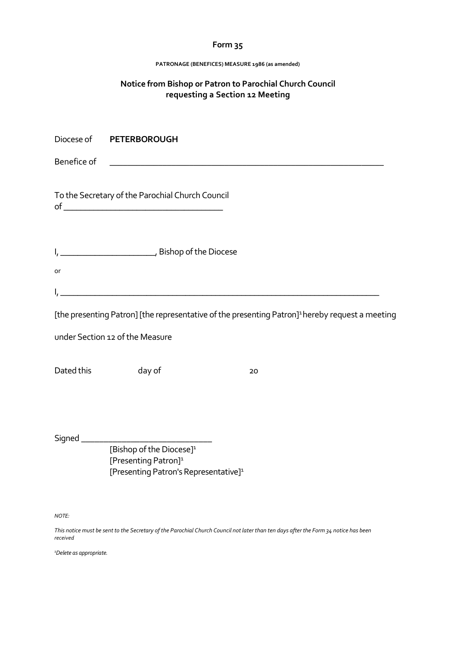#### **PATRONAGE (BENEFICES) MEASURE 1986 (as amended)**

## **Notice from Bishop or Patron to Parochial Church Council requesting a Section 12 Meeting**

|             | Diocese of PETERBOROUGH                                                                                              |                                                                                                             |  |
|-------------|----------------------------------------------------------------------------------------------------------------------|-------------------------------------------------------------------------------------------------------------|--|
| Benefice of |                                                                                                                      |                                                                                                             |  |
|             | To the Secretary of the Parochial Church Council                                                                     |                                                                                                             |  |
| or          |                                                                                                                      |                                                                                                             |  |
| ۱,          | <u> 1980 - Johann Barbara, martxa alemaniar amerikan basar da da a shekara a shekara a shekara a shekara a sheka</u> | [the presenting Patron] [the representative of the presenting Patron] <sup>1</sup> hereby request a meeting |  |
|             | under Section 12 of the Measure                                                                                      |                                                                                                             |  |
| Dated this  | day of                                                                                                               | 20                                                                                                          |  |
|             | [Bishop of the Diocese] <sup>1</sup>                                                                                 |                                                                                                             |  |
|             | [Presenting Patron] <sup>1</sup><br>[Presenting Patron's Representative] <sup>1</sup>                                |                                                                                                             |  |

*NOTE:*

*This notice must be sent to the Secretary of the Parochial Church Council not later than ten days after the Form 34 notice has been received*

*1Delete as appropriate.*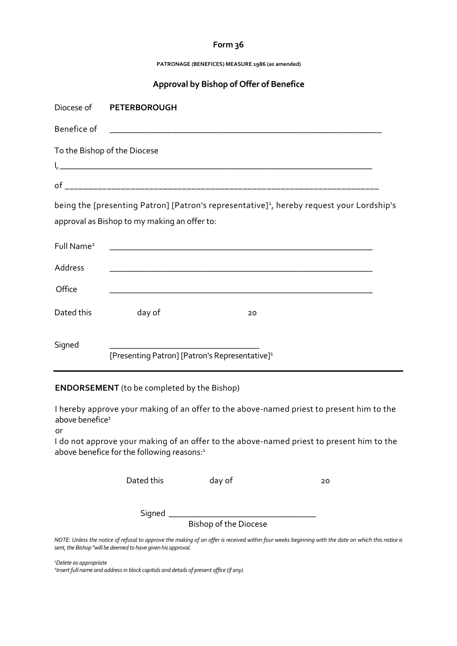**PATRONAGE (BENEFICES) MEASURE 1986 (as amended)**

## **Approval by Bishop of Offer of Benefice**

| Diocese of                   | <b>PETERBOROUGH</b>                                        |                                                                                                       |  |
|------------------------------|------------------------------------------------------------|-------------------------------------------------------------------------------------------------------|--|
| Benefice of                  |                                                            |                                                                                                       |  |
| To the Bishop of the Diocese |                                                            |                                                                                                       |  |
|                              |                                                            |                                                                                                       |  |
|                              | approval as Bishop to my making an offer to:               | being the [presenting Patron] [Patron's representative] <sup>1</sup> , hereby request your Lordship's |  |
| Full Name <sup>2</sup>       |                                                            |                                                                                                       |  |
| Address                      |                                                            |                                                                                                       |  |
| Office                       |                                                            |                                                                                                       |  |
| Dated this                   | day of                                                     | 20                                                                                                    |  |
| Signed                       | [Presenting Patron] [Patron's Representative] <sup>1</sup> |                                                                                                       |  |

### **ENDORSEMENT** (to be completed by the Bishop)

I hereby approve your making of an offer to the above-named priest to present him to the above benefice<sup>1</sup>

or

I do not approve your making of an offer to the above-named priest to present him to the above benefice for the following reasons:<sup>1</sup>

Dated this day of 20

Signed \_\_\_\_\_\_\_\_\_\_\_\_\_\_\_\_\_\_\_\_\_\_\_\_\_\_\_\_\_\_\_\_\_\_

Bishop of the Diocese

*NOTE: Unless the notice of refusal to approve the making of an offer is received within four weeks beginning with the date on which this notice is sent, the Bishop "will be deemed to have given his approval.*

*<sup>1</sup>Delete as appropriate* 

*2 Insert full name and address in block capitals and details of present office (if any).*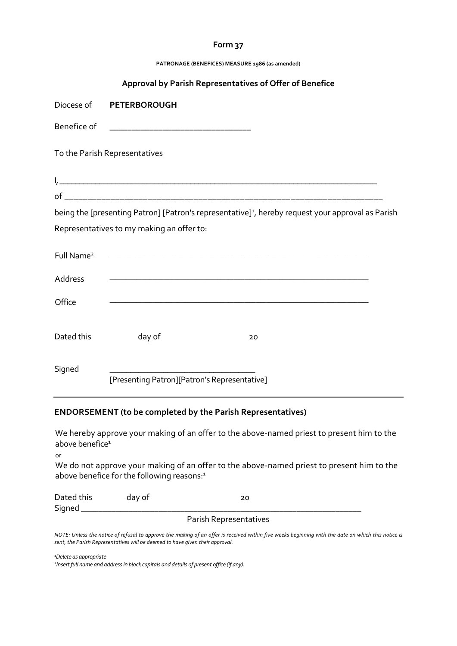**PATRONAGE (BENEFICES) MEASURE 1986 (as amended)**

|                        |                                              | Approval by Parish Representatives of Offer of Benefice                                                       |  |
|------------------------|----------------------------------------------|---------------------------------------------------------------------------------------------------------------|--|
| Diocese of             | <b>PETERBOROUGH</b>                          |                                                                                                               |  |
| Benefice of            |                                              |                                                                                                               |  |
|                        | To the Parish Representatives                |                                                                                                               |  |
|                        |                                              |                                                                                                               |  |
|                        |                                              |                                                                                                               |  |
|                        |                                              | being the [presenting Patron] [Patron's representative] <sup>1</sup> , hereby request your approval as Parish |  |
|                        | Representatives to my making an offer to:    |                                                                                                               |  |
| Full Name <sup>2</sup> |                                              |                                                                                                               |  |
| Address                |                                              |                                                                                                               |  |
| Office                 |                                              |                                                                                                               |  |
| Dated this             | day of                                       | 20                                                                                                            |  |
| Signed                 | [Presenting Patron][Patron's Representative] |                                                                                                               |  |

#### **ENDORSEMENT (to be completed by the Parish Representatives)**

We hereby approve your making of an offer to the above-named priest to present him to the above benefice $1$ 

or

We do not approve your making of an offer to the above-named priest to present him to the above benefice for the following reasons:<sup>1</sup>

| Dated this | day of | 20 |
|------------|--------|----|
| Signed     |        |    |

#### Parish Representatives

*NOTE: Unless the notice of refusal to approve the making of an offer is received within five weeks beginning with the date on which this notice is sent, the Parish Representatives will be deemed to have given their approval.*

*<sup>1</sup>Delete as appropriate*

*2 Insert full name and address in block capitals and details of present office (if any).*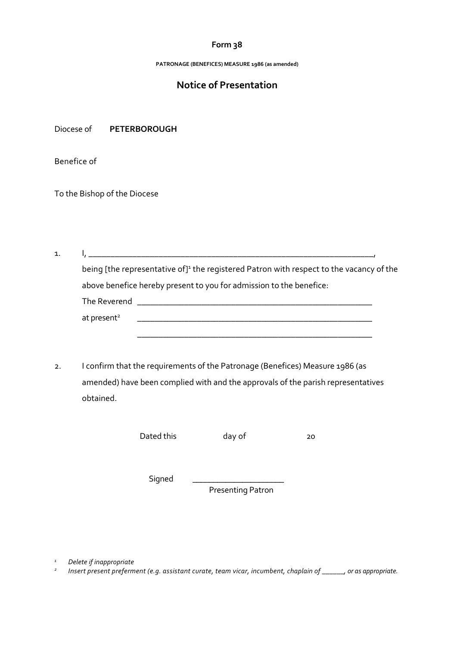**PATRONAGE (BENEFICES) MEASURE 1986 (as amended)**

## **Notice of Presentation**

Diocese of **PETERBOROUGH** 

Benefice of

To the Bishop of the Diocese

1. I, \_\_\_\_\_\_\_\_\_\_\_\_\_\_\_\_\_\_\_\_\_\_\_\_\_\_\_\_\_\_\_\_\_\_\_\_\_\_\_\_\_\_\_\_\_\_\_\_\_\_\_\_\_\_\_\_\_\_\_\_\_\_\_\_\_, being [the representative of]<sup>1</sup> the registered Patron with respect to the vacancy of the above benefice hereby present to you for admission to the benefice: The Reverend \_\_\_\_\_\_\_\_\_\_\_\_\_\_\_\_\_\_\_\_\_\_\_\_\_\_\_\_\_\_\_\_\_\_\_\_\_\_\_\_\_\_\_\_\_\_\_\_\_\_\_\_\_\_\_ at present<sup>2</sup>  $\qquad \qquad$ 

2. I confirm that the requirements of the Patronage (Benefices) Measure 1986 (as amended) have been complied with and the approvals of the parish representatives obtained.

\_\_\_\_\_\_\_\_\_\_\_\_\_\_\_\_\_\_\_\_\_\_\_\_\_\_\_\_\_\_\_\_\_\_\_\_\_\_\_\_\_\_\_\_\_\_\_\_\_\_\_\_\_\_\_

Dated this day of 20

Signed

Presenting Patron

*<sup>1</sup>Delete if inappropriate* 

*2 Insert present preferment (e.g. assistant curate, team vicar, incumbent, chaplain of \_\_\_\_\_\_, or as appropriate.*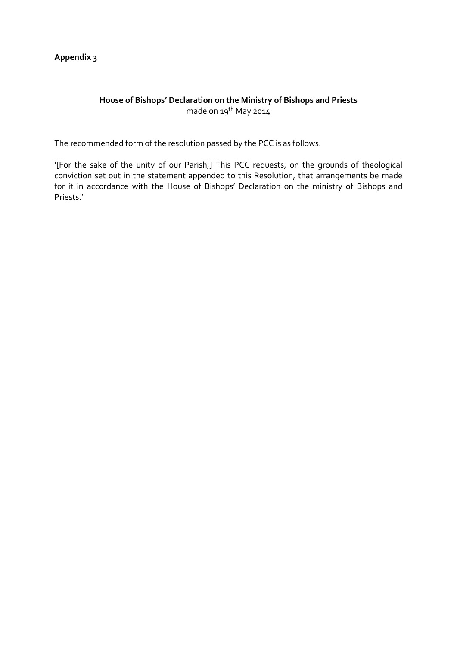## **Appendix 3**

## **House of Bishops' Declaration on the Ministry of Bishops and Priests**  made on  $19^{th}$  May 2014

The recommended form of the resolution passed by the PCC is as follows:

'[For the sake of the unity of our Parish,] This PCC requests, on the grounds of theological conviction set out in the statement appended to this Resolution, that arrangements be made for it in accordance with the House of Bishops' Declaration on the ministry of Bishops and Priests.'